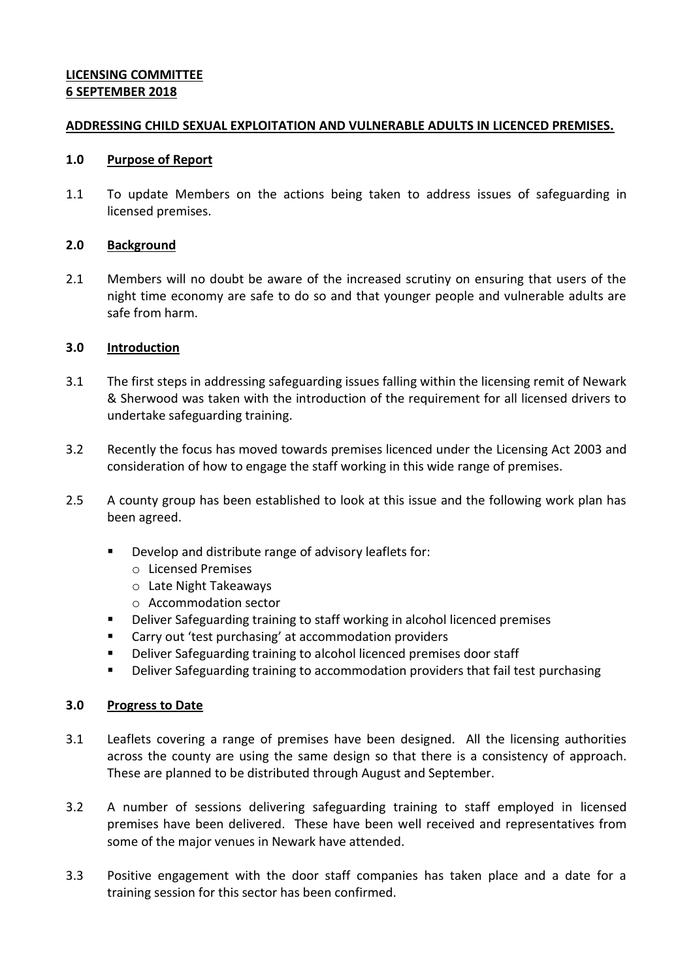## **LICENSING COMMITTEE 6 SEPTEMBER 2018**

#### **ADDRESSING CHILD SEXUAL EXPLOITATION AND VULNERABLE ADULTS IN LICENCED PREMISES.**

#### **1.0 Purpose of Report**

1.1 To update Members on the actions being taken to address issues of safeguarding in licensed premises.

## **2.0 Background**

2.1 Members will no doubt be aware of the increased scrutiny on ensuring that users of the night time economy are safe to do so and that younger people and vulnerable adults are safe from harm.

#### **3.0 Introduction**

- 3.1 The first steps in addressing safeguarding issues falling within the licensing remit of Newark & Sherwood was taken with the introduction of the requirement for all licensed drivers to undertake safeguarding training.
- 3.2 Recently the focus has moved towards premises licenced under the Licensing Act 2003 and consideration of how to engage the staff working in this wide range of premises.
- 2.5 A county group has been established to look at this issue and the following work plan has been agreed.
	- Develop and distribute range of advisory leaflets for:
		- o Licensed Premises
		- o Late Night Takeaways
		- o Accommodation sector
	- Deliver Safeguarding training to staff working in alcohol licenced premises
	- Carry out 'test purchasing' at accommodation providers
	- Deliver Safeguarding training to alcohol licenced premises door staff
	- Deliver Safeguarding training to accommodation providers that fail test purchasing

## **3.0 Progress to Date**

- 3.1 Leaflets covering a range of premises have been designed. All the licensing authorities across the county are using the same design so that there is a consistency of approach. These are planned to be distributed through August and September.
- 3.2 A number of sessions delivering safeguarding training to staff employed in licensed premises have been delivered. These have been well received and representatives from some of the major venues in Newark have attended.
- 3.3 Positive engagement with the door staff companies has taken place and a date for a training session for this sector has been confirmed.